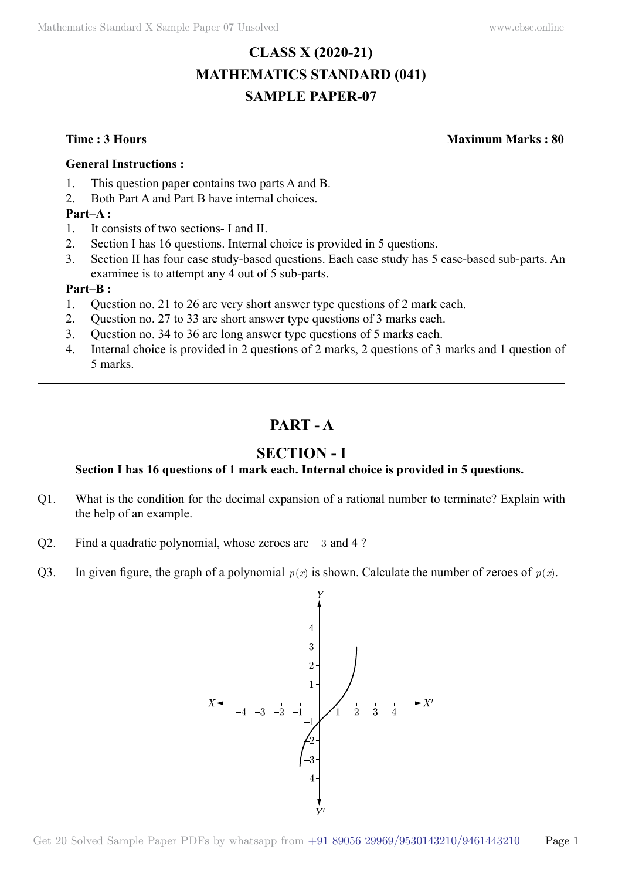# **CLASS X (2020-21) MATHEMATICS STANDARD (041) SAMPLE PAPER-07**

**Time : 3 Hours Maximum Marks : 80**

#### **General Instructions :**

- 1. This question paper contains two parts A and B.
- 2. Both Part A and Part B have internal choices.

## **Part–A :**

- 1. It consists of two sections- I and II.
- 2. Section I has 16 questions. Internal choice is provided in 5 questions.
- 3. Section II has four case study-based questions. Each case study has 5 case-based sub-parts. An examinee is to attempt any 4 out of 5 sub-parts.

### **Part–B :**

- 1. Question no. 21 to 26 are very short answer type questions of 2 mark each.
- 2. Question no. 27 to 33 are short answer type questions of 3 marks each.
- 3. Question no. 34 to 36 are long answer type questions of 5 marks each.
- 4. Internal choice is provided in 2 questions of 2 marks, 2 questions of 3 marks and 1 question of 5 marks.

# **Part - A**

# **Section - I**

## **Section I has 16 questions of 1 mark each. Internal choice is provided in 5 questions.**

- Q1. What is the condition for the decimal expansion of a rational number to terminate? Explain with the help of an example.
- Q2. Find a quadratic polynomial, whose zeroes are -3 and 4 ?
- Q3. In given figure, the graph of a polynomial  $p(x)$  is shown. Calculate the number of zeroes of  $p(x)$ .

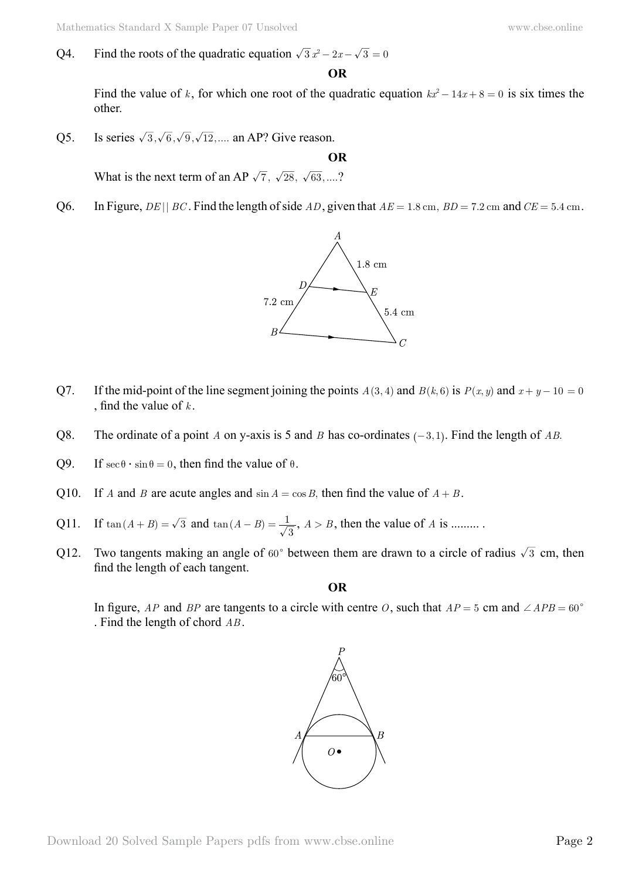Q4. Find the roots of the quadratic equation  $\sqrt{3} x^2 - 2x - \sqrt{3} = 0$ 

 **O**

Find the value of *k*, for which one root of the quadratic equation  $kx^2 - 14x + 8 = 0$  is six times the other.

Q5. Is series  $\sqrt{3}, \sqrt{6}, \sqrt{9}, \sqrt{12}$ ,.... an AP? Give reason.

 **O**

What is the next term of an AP  $\sqrt{7}$ ,  $\sqrt{28}$ ,  $\sqrt{63}$ ,....?

Q6. In Figure, *DE* || *BC*. Find the length of side *AD*, given that  $AE = 1.8$  cm,  $BD = 7.2$  cm and  $CE = 5.4$  cm.



- Q7. If the mid-point of the line segment joining the points  $A(3, 4)$  and  $B(k, 6)$  is  $P(x, y)$  and  $x + y 10 = 0$ , find the value of *k* .
- Q8. The ordinate of a point *A* on y-axis is 5 and *B* has co-ordinates  $(-3, 1)$ . Find the length of *AB*.
- Q9. If  $sec θ · sin θ = 0$ , then find the value of  $θ$ .
- Q10. If *A* and *B* are acute angles and  $\sin A = \cos B$ , then find the value of  $A + B$ .
- Q11. If  $tan(A + B) = \sqrt{3}$  and  $tan(A B) = \frac{1}{\sqrt{3}}$ ,  $A > B$ , then the value of *A* is .........
- Q12. Two tangents making an angle of  $60^{\circ}$  between them are drawn to a circle of radius  $\sqrt{3}$  cm, then find the length of each tangent.

 **O**

In figure, *AP* and *BP* are tangents to a circle with centre *O*, such that  $AP = 5$  cm and  $\angle APB = 60^{\circ}$ . Find the length of chord *AB* .

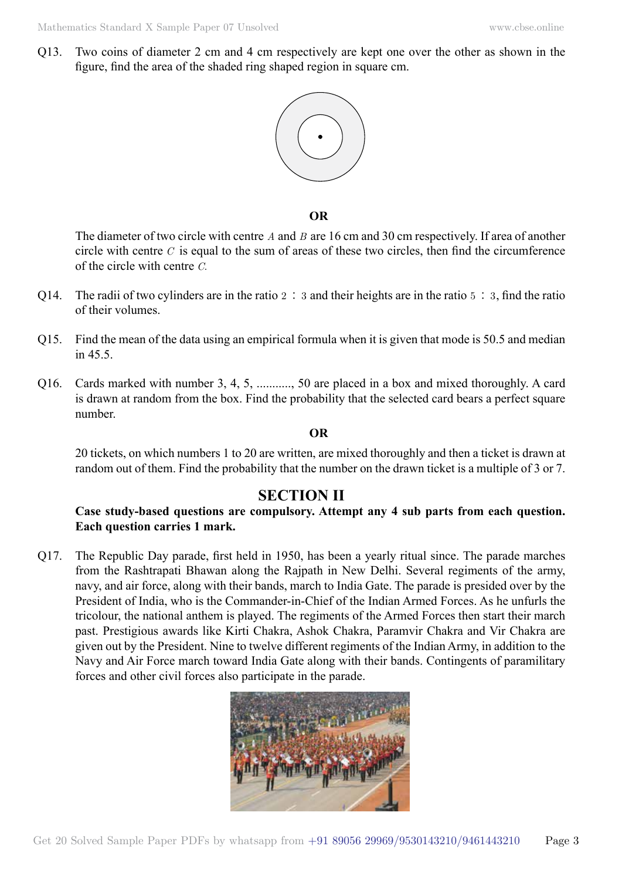Q13. Two coins of diameter 2 cm and 4 cm respectively are kept one over the other as shown in the figure, find the area of the shaded ring shaped region in square cm.



 **O**

The diameter of two circle with centre *A* and *B* are 16 cm and 30 cm respectively. If area of another circle with centre *C* is equal to the sum of areas of these two circles, then find the circumference of the circle with centre *C*.

- Q14. The radii of two cylinders are in the ratio  $2 \div 3$  and their heights are in the ratio  $5 \div 3$ , find the ratio of their volumes.
- Q15. Find the mean of the data using an empirical formula when it is given that mode is 50.5 and median in  $45.5$ .
- Q16. Cards marked with number 3, 4, 5, ..........., 50 are placed in a box and mixed thoroughly. A card is drawn at random from the box. Find the probability that the selected card bears a perfect square number.

#### **O**

20 tickets, on which numbers 1 to 20 are written, are mixed thoroughly and then a ticket is drawn at random out of them. Find the probability that the number on the drawn ticket is a multiple of 3 or 7.

# **Section II**

## **Case study-based questions are compulsory. Attempt any 4 sub parts from each question. Each question carries 1 mark.**

Q17. The Republic Day parade, first held in 1950, has been a yearly ritual since. The parade marches from the Rashtrapati Bhawan along the Rajpath in New Delhi. Several regiments of the army, navy, and air force, along with their bands, march to India Gate. The parade is presided over by the President of India, who is the Commander-in-Chief of the Indian Armed Forces. As he unfurls the tricolour, the national anthem is played. The regiments of the Armed Forces then start their march past. Prestigious awards like Kirti Chakra, Ashok Chakra, Paramvir Chakra and Vir Chakra are given out by the President. Nine to twelve different regiments of the Indian Army, in addition to the Navy and Air Force march toward India Gate along with their bands. Contingents of paramilitary forces and other civil forces also participate in the parade.

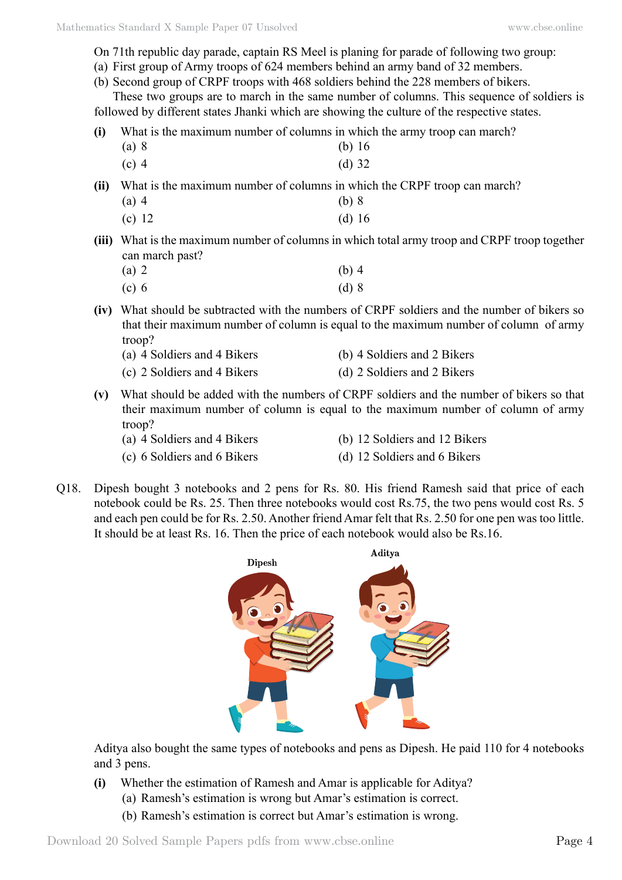- On 71th republic day parade, captain RS Meel is planing for parade of following two group:
- (a) First group of Army troops of 624 members behind an army band of 32 members.
- (b) Second group of CRPF troops with 468 soldiers behind the 228 members of bikers.

These two groups are to march in the same number of columns. This sequence of soldiers is followed by different states Jhanki which are showing the culture of the respective states.

**(i)** What is the maximum number of columns in which the army troop can march?

- (a) 8 (b) 16
- (c) 4 (d) 32

**(ii)** What is the maximum number of columns in which the CRPF troop can march?

- (a) 4 (b) 8
- (c) 12 (d) 16
- **(iii)** What is the maximum number of columns in which total army troop and CRPF troop together can march past?

| $(a)$ 2 | $(b)$ 4 |
|---------|---------|
| $(c)$ 6 | $(d)$ 8 |

- **(iv)** What should be subtracted with the numbers of CRPF soldiers and the number of bikers so that their maximum number of column is equal to the maximum number of column of army troop?
	- (a) 4 Soldiers and 4 Bikers (b) 4 Soldiers and 2 Bikers (c) 2 Soldiers and 4 Bikers (d) 2 Soldiers and 2 Bikers
- **(v)** What should be added with the numbers of CRPF soldiers and the number of bikers so that their maximum number of column is equal to the maximum number of column of army troop?
	-
	- (a) 4 Soldiers and 4 Bikers (b) 12 Soldiers and 12 Bikers
	- (c) 6 Soldiers and 6 Bikers (d) 12 Soldiers and 6 Bikers
- 
- Q18. Dipesh bought 3 notebooks and 2 pens for Rs. 80. His friend Ramesh said that price of each notebook could be Rs. 25. Then three notebooks would cost Rs.75, the two pens would cost Rs. 5 and each pen could be for Rs. 2.50. Another friend Amar felt that Rs. 2.50 for one pen was too little. It should be at least Rs. 16. Then the price of each notebook would also be Rs.16.



Aditya also bought the same types of notebooks and pens as Dipesh. He paid 110 for 4 notebooks and 3 pens.

- **(i)** Whether the estimation of Ramesh and Amar is applicable for Aditya?
	- (a) Ramesh's estimation is wrong but Amar's estimation is correct.
	- (b) Ramesh's estimation is correct but Amar's estimation is wrong.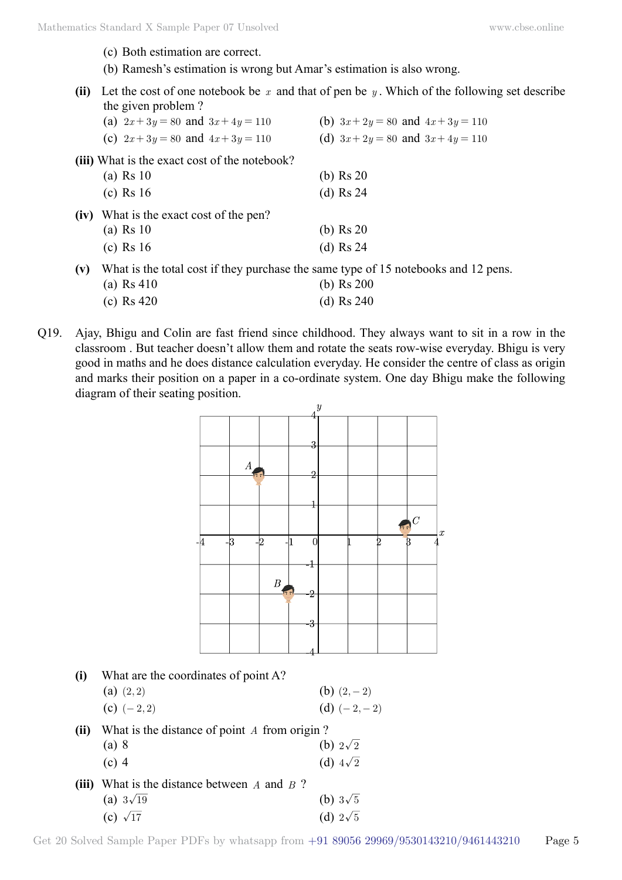- (c) Both estimation are correct.
- (b) Ramesh's estimation is wrong but Amar's estimation is also wrong.
- (ii) Let the cost of one notebook be  $x$  and that of pen be  $y$ . Which of the following set describe the given problem ?

|     | (a) $2x+3y=80$ and $3x+4y=110$                                                     | (b) $3x + 2y = 80$ and $4x + 3y = 110$ |
|-----|------------------------------------------------------------------------------------|----------------------------------------|
|     | (c) $2x+3y=80$ and $4x+3y=110$                                                     | (d) $3x+2y=80$ and $3x+4y=110$         |
|     | (iii) What is the exact cost of the notebook?                                      |                                        |
|     | (a) Rs 10                                                                          | (b) $\text{Rs } 20$                    |
|     | $(c)$ Rs 16                                                                        | (d) $\text{Rs } 24$                    |
|     | (iv) What is the exact cost of the pen?                                            |                                        |
|     | (a) Rs 10                                                                          | (b) $\text{Rs } 20$                    |
|     | $(c)$ Rs 16                                                                        | (d) Rs $24$                            |
| (v) | What is the total cost if they purchase the same type of 15 notebooks and 12 pens. |                                        |
|     | (a) $Rs 410$                                                                       | (b) $\text{Rs } 200$                   |

- (c) Rs 420 (d) Rs 240
- Q19. Ajay, Bhigu and Colin are fast friend since childhood. They always want to sit in a row in the classroom . But teacher doesn't allow them and rotate the seats row-wise everyday. Bhigu is very good in maths and he does distance calculation everyday. He consider the centre of class as origin and marks their position on a paper in a co-ordinate system. One day Bhigu make the following diagram of their seating position.



| (i)   | What are the coordinates of point A?         |                 |  |  |
|-------|----------------------------------------------|-----------------|--|--|
|       | $(a)$ $(2, 2)$                               | (b) $(2,-2)$    |  |  |
|       | (c) $(-2, 2)$                                | (d) $(-2,-2)$   |  |  |
| (ii)  | What is the distance of point A from origin? |                 |  |  |
|       | (a) 8                                        | (b) $2\sqrt{2}$ |  |  |
|       | $(c)$ 4                                      | (d) $4\sqrt{2}$ |  |  |
| (iii) | What is the distance between $A$ and $B$ ?   |                 |  |  |
|       | (a) $3\sqrt{19}$                             | (b) $3\sqrt{5}$ |  |  |
|       | (c) $\sqrt{17}$                              | (d) $2\sqrt{5}$ |  |  |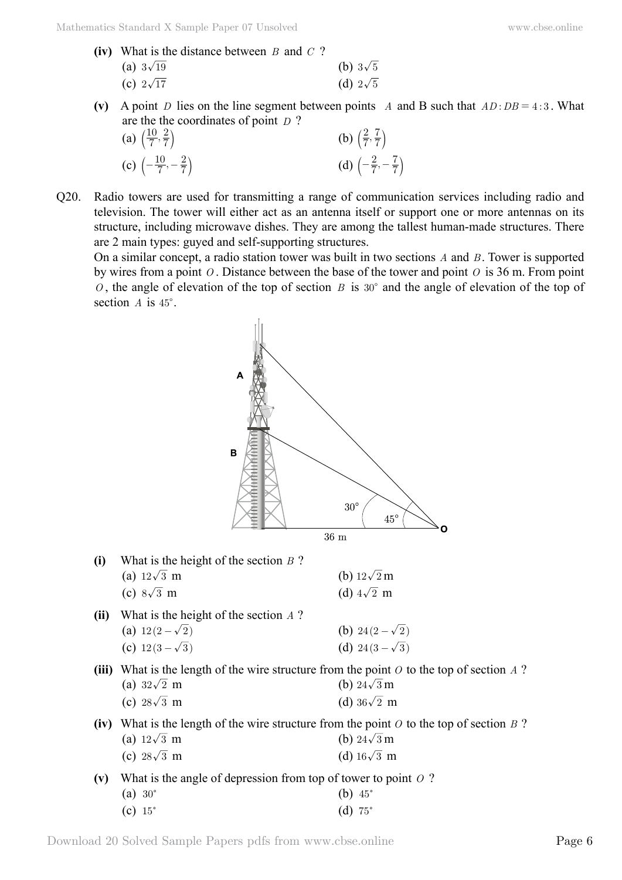- **(iv)** What is the distance between *B* and *C* ? (a)  $3\sqrt{19}$  (b)  $3\sqrt{5}$ (c)  $2\sqrt{17}$  (d)  $2\sqrt{5}$
- (v) A point *D* lies on the line segment between points *A* and B such that  $AD : DB = 4 : 3$ . What are the the coordinates of point *D* ?

| (a) $\left(\frac{10}{7}, \frac{2}{7}\right)$ |                                                | (b) $\left(\frac{2}{7},\frac{7}{7}\right)$    |  |  |
|----------------------------------------------|------------------------------------------------|-----------------------------------------------|--|--|
|                                              | (c) $\left(-\frac{10}{7}, -\frac{2}{7}\right)$ | (d) $\left(-\frac{2}{7}, -\frac{7}{7}\right)$ |  |  |

Q20. Radio towers are used for transmitting a range of communication services including radio and television. The tower will either act as an antenna itself or support one or more antennas on its structure, including microwave dishes. They are among the tallest human-made structures. There are 2 main types: guyed and self-supporting structures.

On a similar concept, a radio station tower was built in two sections *A* and *B* . Tower is supported by wires from a point *O* . Distance between the base of the tower and point *O* is 36 m. From point *O*, the angle of elevation of the top of section *B* is  $30^{\circ}$  and the angle of elevation of the top of section  $A$  is  $45^\circ$ .



Download 20 Solved Sample Papers pdfs from [www.cbse.online](http://www.cbse.online) Page 6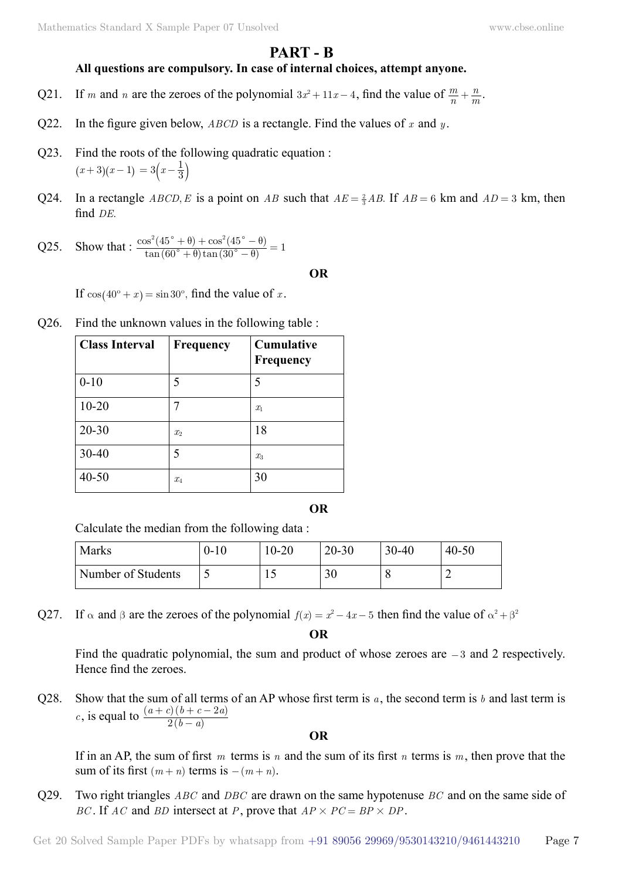# **Part - B**

## **All questions are compulsory. In case of internal choices, attempt anyone.**

- Q21. If *m* and *n* are the zeroes of the polynomial  $3x^2 + 11x 4$ , find the value of  $\frac{m}{n}$  $+\frac{n}{m}$ .
- Q22. In the figure given below, *ABCD* is a rectangle. Find the values of *x* and *y* .
- Q23. Find the roots of the following quadratic equation :  $(x+3)(x-1) = 3\left(x-\frac{1}{3}\right)$
- Q24. In a rectangle *ABCD*, *E* is a point on *AB* such that  $AE = \frac{2}{3}AB$ . If  $AB = 6$  km and  $AD = 3$  km, then find *DE*.
- Q25. Show that :  $\frac{\cos^2(45^\circ + \theta) + \cos^2(45^\circ \theta)}{\tan(60^\circ + \theta)\tan(30^\circ \theta)}$  $\tan (60^\circ + \theta) \tan$  $\cos^2(45^\circ + \theta) + \cos$  $\frac{f^2(45^\circ + \theta) + \cos^2(45^\circ - \theta)}{\tan(60^\circ + \theta)\tan(30^\circ - \theta)} = 1$  $\int^{\circ} + \theta \, \tan(30^{\circ})$  $\degree + \theta$  +  $\cos^2(45^\circ)$  $\theta$ ) tan (30°  $\theta$  $\theta)+\cos^2(45^\circ-\theta$  $+\theta$ ) +  $\cos^2(45^\circ - \theta)$ <br>  $+\theta$ ) tan  $(30^\circ - \theta)$

#### **O**

If  $cos(40^\circ + x) = sin 30^\circ$ , find the value of *x*.

Q26. Find the unknown values in the following table :

| <b>Class Interval</b> | Frequency      | <b>Cumulative</b><br>Frequency |
|-----------------------|----------------|--------------------------------|
| $0 - 10$              | 5              | 5                              |
| $10 - 20$             |                | $x_1$                          |
| $20 - 30$             | x <sub>2</sub> | 18                             |
| $30 - 40$             | 5              | $x_3$                          |
| $40 - 50$             | $x_4$          | 30                             |

 **O**

Calculate the median from the following data :

| <b>Marks</b>       | $0 - 10$                 | $10 - 20$ | $20 - 30$ | $30 - 40$ | $40 - 50$ |
|--------------------|--------------------------|-----------|-----------|-----------|-----------|
| Number of Students | $\overline{\phantom{0}}$ |           | 30        |           |           |

Q27. If  $\alpha$  and  $\beta$  are the zeroes of the polynomial  $f(x) = x^2 - 4x - 5$  then find the value of  $\alpha^2 + \beta^2$ 

 **O**

Find the quadratic polynomial, the sum and product of whose zeroes are  $-3$  and 2 respectively. Hence find the zeroes.

Q28. Show that the sum of all terms of an AP whose first term is *a* , the second term is *b* and last term is *c*, is equal to  $\frac{(a+c)(b+c-2a)}{2(b-a)}$  $b - a$  $a + c$ )  $(b + c - 2a)$ 2 2 −  $+ c$ )  $(b + c -$ 

 **O**

If in an AP, the sum of first *m* terms is *n* and the sum of its first *n* terms is *m*, then prove that the sum of its first  $(m + n)$  terms is  $-(m + n)$ .

Q29. Two right triangles *ABC* and *DBC* are drawn on the same hypotenuse *BC* and on the same side of *BC*. If *AC* and *BD* intersect at *P*, prove that  $AP \times PC = BP \times DP$ .